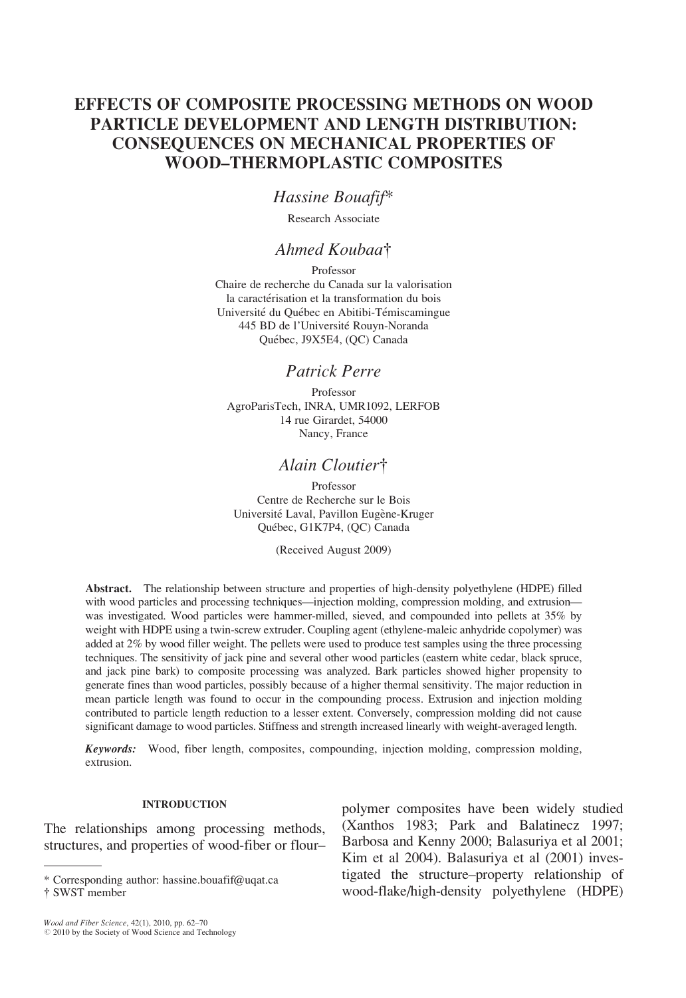# EFFECTS OF COMPOSITE PROCESSING METHODS ON WOOD PARTICLE DEVELOPMENT AND LENGTH DISTRIBUTION: CONSEQUENCES ON MECHANICAL PROPERTIES OF WOOD–THERMOPLASTIC COMPOSITES

## Hassine Bouafif\*

Research Associate

### Ahmed Koubaa<sup>†</sup>

Professor Chaire de recherche du Canada sur la valorisation la caractérisation et la transformation du bois Université du Québec en Abitibi-Témiscamingue 445 BD de l'Université Rouyn-Noranda Québec, J9X5E4, (QC) Canada

### Patrick Perre

Professor AgroParisTech, INRA, UMR1092, LERFOB 14 rue Girardet, 54000 Nancy, France

# Alain Cloutier†

Professor Centre de Recherche sur le Bois Université Laval, Pavillon Eugène-Kruger Québec, G1K7P4, (QC) Canada

(Received August 2009)

Abstract. The relationship between structure and properties of high-density polyethylene (HDPE) filled with wood particles and processing techniques—injection molding, compression molding, and extrusion was investigated. Wood particles were hammer-milled, sieved, and compounded into pellets at 35% by weight with HDPE using a twin-screw extruder. Coupling agent (ethylene-maleic anhydride copolymer) was added at 2% by wood filler weight. The pellets were used to produce test samples using the three processing techniques. The sensitivity of jack pine and several other wood particles (eastern white cedar, black spruce, and jack pine bark) to composite processing was analyzed. Bark particles showed higher propensity to generate fines than wood particles, possibly because of a higher thermal sensitivity. The major reduction in mean particle length was found to occur in the compounding process. Extrusion and injection molding contributed to particle length reduction to a lesser extent. Conversely, compression molding did not cause significant damage to wood particles. Stiffness and strength increased linearly with weight-averaged length.

Keywords: Wood, fiber length, composites, compounding, injection molding, compression molding, extrusion.

#### **INTRODUCTION**

The relationships among processing methods, structures, and properties of wood-fiber or flour–

polymer composites have been widely studied (Xanthos 1983; Park and Balatinecz 1997; Barbosa and Kenny 2000; Balasuriya et al 2001; Kim et al 2004). Balasuriya et al (2001) investigated the structure–property relationship of \* Corresponding author: hassine.bouafif@uqat.ca between the structure-property relationship of the structure-property relationship of the structure-property relationship of the structure-property relationship of the struct

<sup>{</sup> SWST member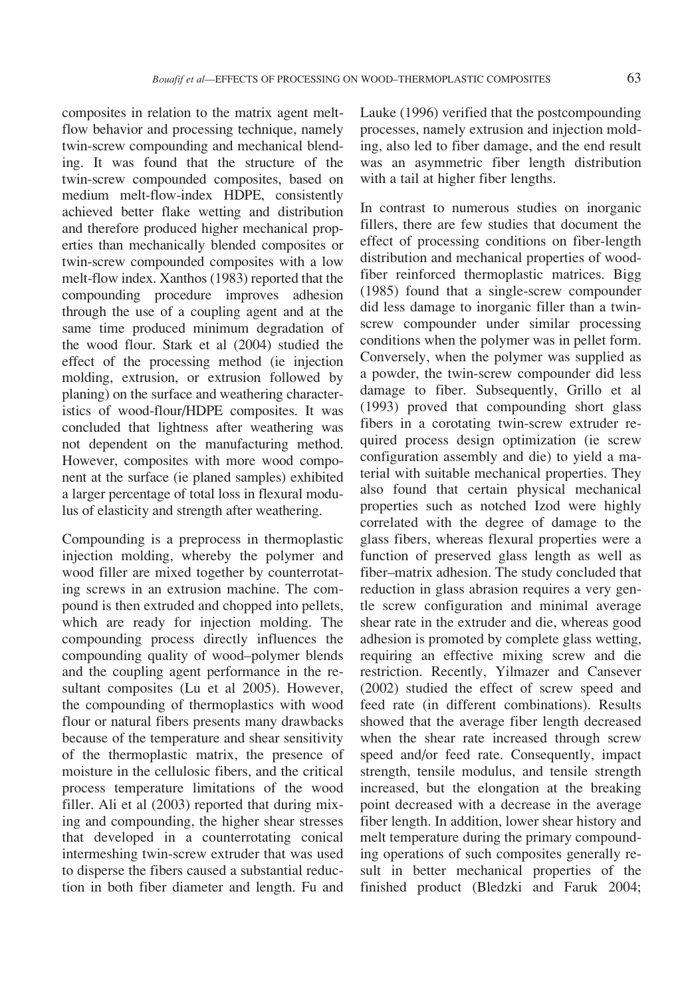composites in relation to the matrix agent meltflow behavior and processing technique, namely twin-screw compounding and mechanical blending. It was found that the structure of the twin-screw compounded composites, based on medium melt-flow-index HDPE, consistently achieved better flake wetting and distribution and therefore produced higher mechanical properties than mechanically blended composites or twin-screw compounded composites with a low melt-flow index. Xanthos (1983) reported that the compounding procedure improves adhesion through the use of a coupling agent and at the same time produced minimum degradation of the wood flour. Stark et al (2004) studied the effect of the processing method (ie injection molding, extrusion, or extrusion followed by planing) on the surface and weathering characteristics of wood-flour/HDPE composites. It was concluded that lightness after weathering was not dependent on the manufacturing method. However, composites with more wood component at the surface (ie planed samples) exhibited a larger percentage of total loss in flexural modulus of elasticity and strength after weathering.

Compounding is a preprocess in thermoplastic injection molding, whereby the polymer and wood filler are mixed together by counterrotating screws in an extrusion machine. The compound is then extruded and chopped into pellets, which are ready for injection molding. The compounding process directly influences the compounding quality of wood–polymer blends and the coupling agent performance in the resultant composites (Lu et al 2005). However, the compounding of thermoplastics with wood flour or natural fibers presents many drawbacks because of the temperature and shear sensitivity of the thermoplastic matrix, the presence of moisture in the cellulosic fibers, and the critical process temperature limitations of the wood filler. Ali et al (2003) reported that during mixing and compounding, the higher shear stresses that developed in a counterrotating conical intermeshing twin-screw extruder that was used to disperse the fibers caused a substantial reduction in both fiber diameter and length. Fu and

Lauke (1996) verified that the postcompounding processes, namely extrusion and injection molding, also led to fiber damage, and the end result was an asymmetric fiber length distribution with a tail at higher fiber lengths.

In contrast to numerous studies on inorganic fillers, there are few studies that document the effect of processing conditions on fiber-length distribution and mechanical properties of woodfiber reinforced thermoplastic matrices. Bigg (1985) found that a single-screw compounder did less damage to inorganic filler than a twinscrew compounder under similar processing conditions when the polymer was in pellet form. Conversely, when the polymer was supplied as a powder, the twin-screw compounder did less damage to fiber. Subsequently, Grillo et al (1993) proved that compounding short glass fibers in a corotating twin-screw extruder required process design optimization (ie screw configuration assembly and die) to yield a material with suitable mechanical properties. They also found that certain physical mechanical properties such as notched Izod were highly correlated with the degree of damage to the glass fibers, whereas flexural properties were a function of preserved glass length as well as fiber–matrix adhesion. The study concluded that reduction in glass abrasion requires a very gentle screw configuration and minimal average shear rate in the extruder and die, whereas good adhesion is promoted by complete glass wetting, requiring an effective mixing screw and die restriction. Recently, Yilmazer and Cansever (2002) studied the effect of screw speed and feed rate (in different combinations). Results showed that the average fiber length decreased when the shear rate increased through screw speed and/or feed rate. Consequently, impact strength, tensile modulus, and tensile strength increased, but the elongation at the breaking point decreased with a decrease in the average fiber length. In addition, lower shear history and melt temperature during the primary compounding operations of such composites generally result in better mechanical properties of the finished product (Bledzki and Faruk 2004;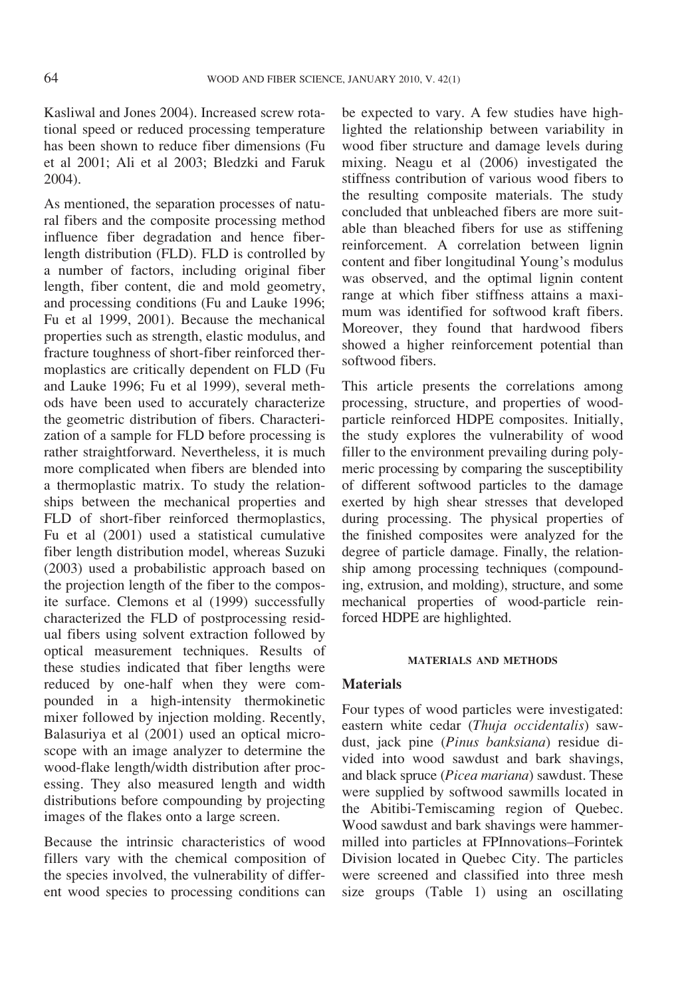Kasliwal and Jones 2004). Increased screw rotational speed or reduced processing temperature has been shown to reduce fiber dimensions (Fu et al 2001; Ali et al 2003; Bledzki and Faruk 2004).

As mentioned, the separation processes of natural fibers and the composite processing method influence fiber degradation and hence fiberlength distribution (FLD). FLD is controlled by a number of factors, including original fiber length, fiber content, die and mold geometry, and processing conditions (Fu and Lauke 1996; Fu et al 1999, 2001). Because the mechanical properties such as strength, elastic modulus, and fracture toughness of short-fiber reinforced thermoplastics are critically dependent on FLD (Fu and Lauke 1996; Fu et al 1999), several methods have been used to accurately characterize the geometric distribution of fibers. Characterization of a sample for FLD before processing is rather straightforward. Nevertheless, it is much more complicated when fibers are blended into a thermoplastic matrix. To study the relationships between the mechanical properties and FLD of short-fiber reinforced thermoplastics, Fu et al (2001) used a statistical cumulative fiber length distribution model, whereas Suzuki (2003) used a probabilistic approach based on the projection length of the fiber to the composite surface. Clemons et al (1999) successfully characterized the FLD of postprocessing residual fibers using solvent extraction followed by optical measurement techniques. Results of these studies indicated that fiber lengths were reduced by one-half when they were compounded in a high-intensity thermokinetic mixer followed by injection molding. Recently, Balasuriya et al (2001) used an optical microscope with an image analyzer to determine the wood-flake length/width distribution after processing. They also measured length and width distributions before compounding by projecting images of the flakes onto a large screen.

Because the intrinsic characteristics of wood fillers vary with the chemical composition of the species involved, the vulnerability of different wood species to processing conditions can be expected to vary. A few studies have highlighted the relationship between variability in wood fiber structure and damage levels during mixing. Neagu et al (2006) investigated the stiffness contribution of various wood fibers to the resulting composite materials. The study concluded that unbleached fibers are more suitable than bleached fibers for use as stiffening reinforcement. A correlation between lignin content and fiber longitudinal Young's modulus was observed, and the optimal lignin content range at which fiber stiffness attains a maximum was identified for softwood kraft fibers. Moreover, they found that hardwood fibers showed a higher reinforcement potential than softwood fibers.

This article presents the correlations among processing, structure, and properties of woodparticle reinforced HDPE composites. Initially, the study explores the vulnerability of wood filler to the environment prevailing during polymeric processing by comparing the susceptibility of different softwood particles to the damage exerted by high shear stresses that developed during processing. The physical properties of the finished composites were analyzed for the degree of particle damage. Finally, the relationship among processing techniques (compounding, extrusion, and molding), structure, and some mechanical properties of wood-particle reinforced HDPE are highlighted.

#### MATERIALS AND METHODS

### **Materials**

Four types of wood particles were investigated: eastern white cedar (Thuja occidentalis) sawdust, jack pine (Pinus banksiana) residue divided into wood sawdust and bark shavings, and black spruce (Picea mariana) sawdust. These were supplied by softwood sawmills located in the Abitibi-Temiscaming region of Quebec. Wood sawdust and bark shavings were hammermilled into particles at FPInnovations–Forintek Division located in Quebec City. The particles were screened and classified into three mesh size groups (Table 1) using an oscillating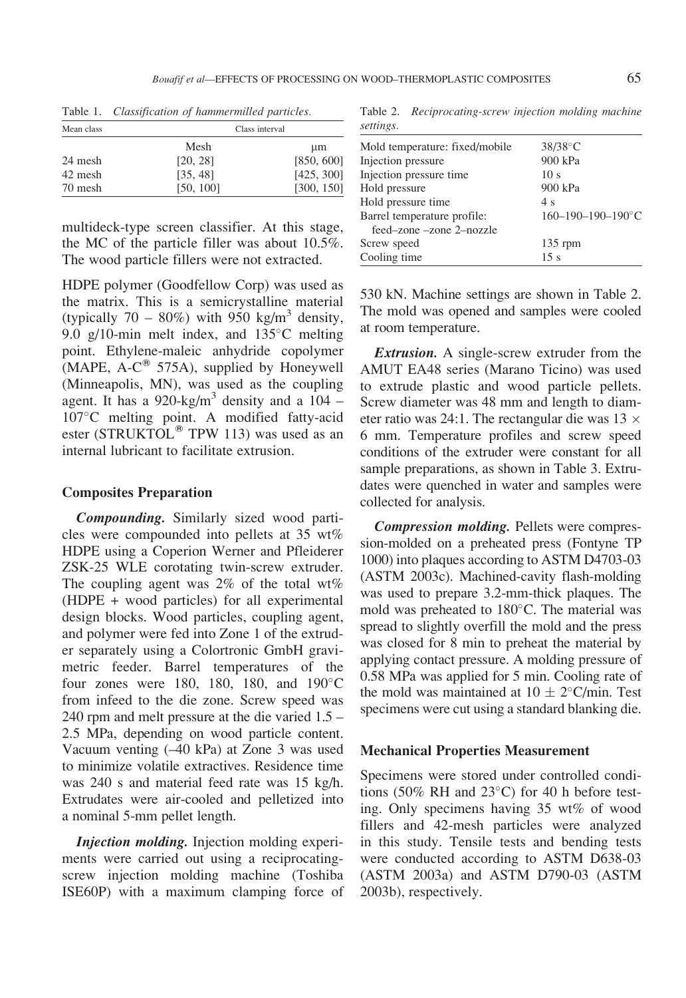| Mean class | Class interval |            |
|------------|----------------|------------|
|            | Mesh           | μm         |
| 24 mesh    | [20, 28]       | [850, 600] |
| 42 mesh    | [35, 48]       | [425, 300] |
| 70 mesh    | [50, 100]      | [300, 150] |

Table 1. Classification of hammermilled particles.

multideck-type screen classifier. At this stage, the MC of the particle filler was about 10.5%. The wood particle fillers were not extracted.

HDPE polymer (Goodfellow Corp) was used as the matrix. This is a semicrystalline material (typically  $70 - 80\%$ ) with 950 kg/m<sup>3</sup> density, 9.0 g/10-min melt index, and  $135^{\circ}$ C melting point. Ethylene-maleic anhydride copolymer (MAPE,  $A-C^{(8)}$  575A), supplied by Honeywell (Minneapolis, MN), was used as the coupling agent. It has a 920-kg/m<sup>3</sup> density and a 104 – 107°C melting point. A modified fatty-acid ester (STRUKTOL<sup>®</sup> TPW 113) was used as an internal lubricant to facilitate extrusion.

#### Composites Preparation

Compounding. Similarly sized wood particles were compounded into pellets at 35 wt% HDPE using a Coperion Werner and Pfleiderer ZSK-25 WLE corotating twin-screw extruder. The coupling agent was  $2\%$  of the total wt% (HDPE + wood particles) for all experimental design blocks. Wood particles, coupling agent, and polymer were fed into Zone 1 of the extruder separately using a Colortronic GmbH gravimetric feeder. Barrel temperatures of the four zones were 180, 180, 180, and  $190^{\circ}$ C from infeed to the die zone. Screw speed was 240 rpm and melt pressure at the die varied 1.5 – 2.5 MPa, depending on wood particle content. Vacuum venting (–40 kPa) at Zone 3 was used to minimize volatile extractives. Residence time was 240 s and material feed rate was 15 kg/h. Extrudates were air-cooled and pelletized into a nominal 5-mm pellet length.

Injection molding. Injection molding experiments were carried out using a reciprocatingscrew injection molding machine (Toshiba ISE60P) with a maximum clamping force of

Table 2. Reciprocating-screw injection molding machine settings.

| $38/38$ °C                 |  |
|----------------------------|--|
| 900 kPa                    |  |
| 10 <sub>s</sub>            |  |
| 900 kPa                    |  |
| 4 s                        |  |
| $160 - 190 - 190 - 190$ °C |  |
|                            |  |
| $135$ rpm                  |  |
| 15s                        |  |
|                            |  |

530 kN. Machine settings are shown in Table 2. The mold was opened and samples were cooled at room temperature.

**Extrusion.** A single-screw extruder from the AMUT EA48 series (Marano Ticino) was used to extrude plastic and wood particle pellets. Screw diameter was 48 mm and length to diameter ratio was 24:1. The rectangular die was  $13 \times$ 6 mm. Temperature profiles and screw speed conditions of the extruder were constant for all sample preparations, as shown in Table 3. Extrudates were quenched in water and samples were collected for analysis.

Compression molding. Pellets were compression-molded on a preheated press (Fontyne TP 1000) into plaques according to ASTM D4703-03 (ASTM 2003c). Machined-cavity flash-molding was used to prepare 3.2-mm-thick plaques. The mold was preheated to  $180^{\circ}$ C. The material was spread to slightly overfill the mold and the press was closed for 8 min to preheat the material by applying contact pressure. A molding pressure of 0.58 MPa was applied for 5 min. Cooling rate of the mold was maintained at  $10 \pm 2^{\circ}$ C/min. Test specimens were cut using a standard blanking die.

#### Mechanical Properties Measurement

Specimens were stored under controlled conditions (50% RH and  $23^{\circ}$ C) for 40 h before testing. Only specimens having 35 wt% of wood fillers and 42-mesh particles were analyzed in this study. Tensile tests and bending tests were conducted according to ASTM D638-03 (ASTM 2003a) and ASTM D790-03 (ASTM 2003b), respectively.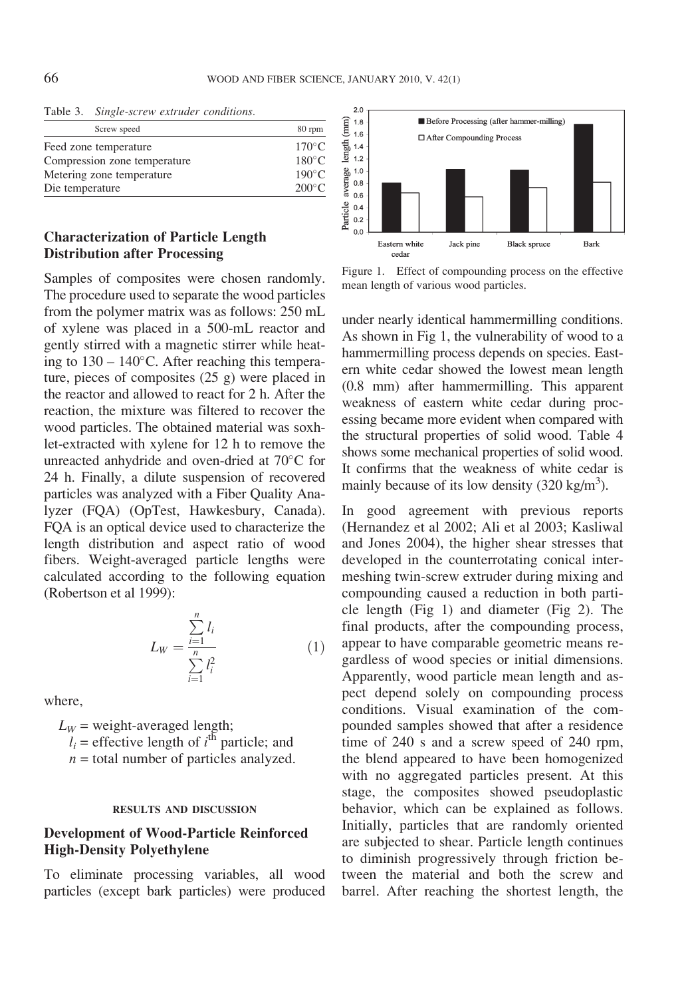| Screw speed                  | 80 rpm          |
|------------------------------|-----------------|
| Feed zone temperature        | $170^{\circ}$ C |
| Compression zone temperature | $180^{\circ}$ C |
| Metering zone temperature    | $190^{\circ}$ C |
| Die temperature              | $200^{\circ}$ C |

Table 3. Single-screw extruder conditions.

### Characterization of Particle Length Distribution after Processing

Samples of composites were chosen randomly. The procedure used to separate the wood particles from the polymer matrix was as follows: 250 mL of xylene was placed in a 500-mL reactor and gently stirred with a magnetic stirrer while heating to  $130 - 140$ °C. After reaching this temperature, pieces of composites (25 g) were placed in the reactor and allowed to react for 2 h. After the reaction, the mixture was filtered to recover the wood particles. The obtained material was soxhlet-extracted with xylene for 12 h to remove the unreacted anhydride and oven-dried at  $70^{\circ}$ C for 24 h. Finally, a dilute suspension of recovered particles was analyzed with a Fiber Quality Analyzer (FQA) (OpTest, Hawkesbury, Canada). FQA is an optical device used to characterize the length distribution and aspect ratio of wood fibers. Weight-averaged particle lengths were calculated according to the following equation (Robertson et al 1999):

$$
L_W = \frac{\sum_{i=1}^{n} l_i}{\sum_{i=1}^{n} l_i^2}
$$
 (1)

where,

 $L_W$  = weight-averaged length;  $l_i$  = effective length of  $i^{\text{th}}$  particle; and  $n =$  total number of particles analyzed.

#### RESULTS AND DISCUSSION

### Development of Wood-Particle Reinforced High-Density Polyethylene

To eliminate processing variables, all wood particles (except bark particles) were produced



Figure 1. Effect of compounding process on the effective mean length of various wood particles.

under nearly identical hammermilling conditions. As shown in Fig 1, the vulnerability of wood to a hammermilling process depends on species. Eastern white cedar showed the lowest mean length (0.8 mm) after hammermilling. This apparent weakness of eastern white cedar during processing became more evident when compared with the structural properties of solid wood. Table 4 shows some mechanical properties of solid wood. It confirms that the weakness of white cedar is mainly because of its low density  $(320 \text{ kg/m}^3)$ .

In good agreement with previous reports (Hernandez et al 2002; Ali et al 2003; Kasliwal and Jones 2004), the higher shear stresses that developed in the counterrotating conical intermeshing twin-screw extruder during mixing and compounding caused a reduction in both particle length (Fig 1) and diameter (Fig 2). The final products, after the compounding process, appear to have comparable geometric means regardless of wood species or initial dimensions. Apparently, wood particle mean length and aspect depend solely on compounding process conditions. Visual examination of the compounded samples showed that after a residence time of 240 s and a screw speed of 240 rpm, the blend appeared to have been homogenized with no aggregated particles present. At this stage, the composites showed pseudoplastic behavior, which can be explained as follows. Initially, particles that are randomly oriented are subjected to shear. Particle length continues to diminish progressively through friction between the material and both the screw and barrel. After reaching the shortest length, the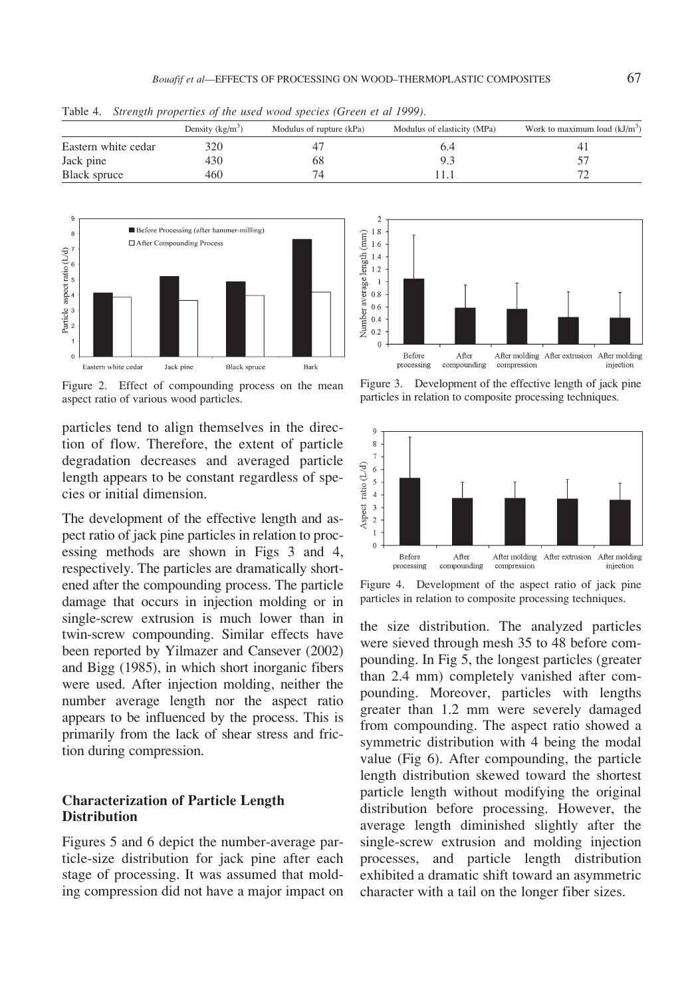|                     | Density $(kg/m^3)$ | Modulus of rupture (kPa) | Modulus of elasticity (MPa) | Work to maximum load $(kJ/m3)$ |
|---------------------|--------------------|--------------------------|-----------------------------|--------------------------------|
| Eastern white cedar | 320                |                          |                             |                                |
| Jack pine           | 430                | 68                       |                             |                                |
| Black spruce        | 460                |                          |                             |                                |

Table 4. Strength properties of the used wood species (Green et al 1999).



Figure 2. Effect of compounding process on the mean aspect ratio of various wood particles.

particles tend to align themselves in the direction of flow. Therefore, the extent of particle degradation decreases and averaged particle length appears to be constant regardless of species or initial dimension.

The development of the effective length and aspect ratio of jack pine particles in relation to processing methods are shown in Figs 3 and 4, respectively. The particles are dramatically shortened after the compounding process. The particle damage that occurs in injection molding or in single-screw extrusion is much lower than in twin-screw compounding. Similar effects have been reported by Yilmazer and Cansever (2002) and Bigg (1985), in which short inorganic fibers were used. After injection molding, neither the number average length nor the aspect ratio appears to be influenced by the process. This is primarily from the lack of shear stress and friction during compression.

### Characterization of Particle Length **Distribution**

Figures 5 and 6 depict the number-average particle-size distribution for jack pine after each stage of processing. It was assumed that molding compression did not have a major impact on



Figure 3. Development of the effective length of jack pine particles in relation to composite processing techniques.



Figure 4. Development of the aspect ratio of jack pine particles in relation to composite processing techniques.

the size distribution. The analyzed particles were sieved through mesh 35 to 48 before compounding. In Fig 5, the longest particles (greater than 2.4 mm) completely vanished after compounding. Moreover, particles with lengths greater than 1.2 mm were severely damaged from compounding. The aspect ratio showed a symmetric distribution with 4 being the modal value (Fig 6). After compounding, the particle length distribution skewed toward the shortest particle length without modifying the original distribution before processing. However, the average length diminished slightly after the single-screw extrusion and molding injection processes, and particle length distribution exhibited a dramatic shift toward an asymmetric character with a tail on the longer fiber sizes.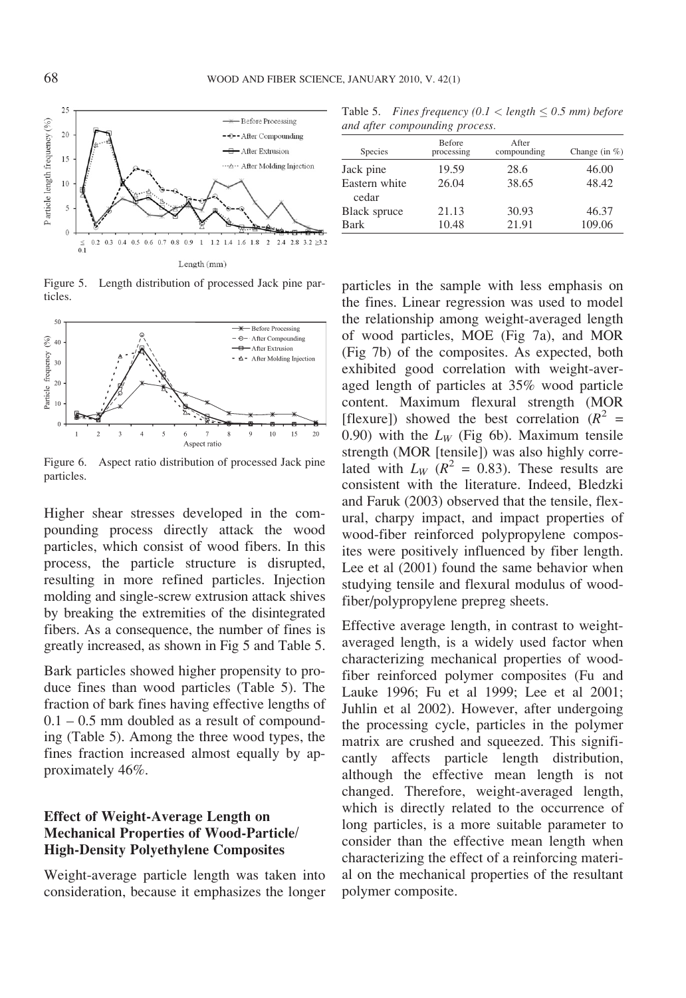

Figure 5. Length distribution of processed Jack pine particles.



Figure 6. Aspect ratio distribution of processed Jack pine particles.

Higher shear stresses developed in the compounding process directly attack the wood particles, which consist of wood fibers. In this process, the particle structure is disrupted, resulting in more refined particles. Injection molding and single-screw extrusion attack shives by breaking the extremities of the disintegrated fibers. As a consequence, the number of fines is greatly increased, as shown in Fig 5 and Table 5.

Bark particles showed higher propensity to produce fines than wood particles (Table 5). The fraction of bark fines having effective lengths of  $0.1 - 0.5$  mm doubled as a result of compounding (Table 5). Among the three wood types, the fines fraction increased almost equally by approximately 46%.

### Effect of Weight-Average Length on Mechanical Properties of Wood-Particle/ High-Density Polyethylene Composites

Weight-average particle length was taken into consideration, because it emphasizes the longer

Table 5. Fines frequency  $(0.1 <$  length  $\le 0.5$  mm) before and after compounding process.

| Species                | <b>Before</b><br>processing | After<br>compounding | Change (in $%$ ) |
|------------------------|-----------------------------|----------------------|------------------|
| Jack pine              | 19.59                       | 28.6                 | 46.00            |
| Eastern white<br>cedar | 26.04                       | 38.65                | 48.42            |
| Black spruce           | 21.13                       | 30.93                | 46.37            |
| Bark                   | 10.48                       | 21.91                | 109.06           |

particles in the sample with less emphasis on the fines. Linear regression was used to model the relationship among weight-averaged length of wood particles, MOE (Fig 7a), and MOR (Fig 7b) of the composites. As expected, both exhibited good correlation with weight-averaged length of particles at 35% wood particle content. Maximum flexural strength (MOR [flexure]) showed the best correlation  $(R^2 =$ 0.90) with the  $L_W$  (Fig 6b). Maximum tensile strength (MOR [tensile]) was also highly correlated with  $L_W$  ( $R^2 = 0.83$ ). These results are consistent with the literature. Indeed, Bledzki and Faruk (2003) observed that the tensile, flexural, charpy impact, and impact properties of wood-fiber reinforced polypropylene composites were positively influenced by fiber length. Lee et al (2001) found the same behavior when studying tensile and flexural modulus of woodfiber/polypropylene prepreg sheets.

Effective average length, in contrast to weightaveraged length, is a widely used factor when characterizing mechanical properties of woodfiber reinforced polymer composites (Fu and Lauke 1996; Fu et al 1999; Lee et al 2001; Juhlin et al 2002). However, after undergoing the processing cycle, particles in the polymer matrix are crushed and squeezed. This significantly affects particle length distribution, although the effective mean length is not changed. Therefore, weight-averaged length, which is directly related to the occurrence of long particles, is a more suitable parameter to consider than the effective mean length when characterizing the effect of a reinforcing material on the mechanical properties of the resultant polymer composite.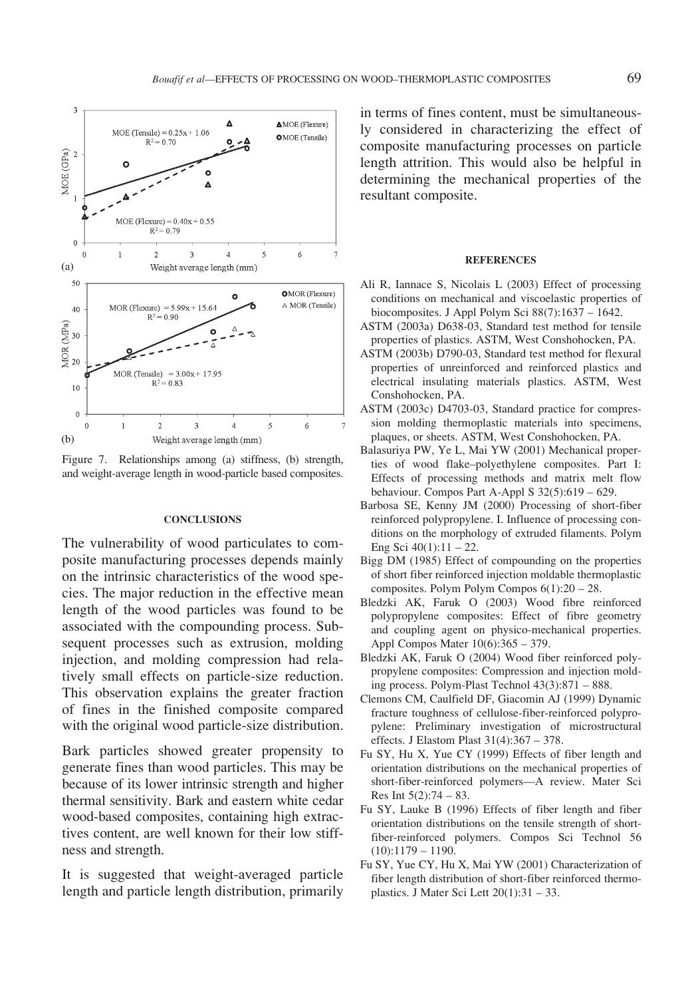

Figure 7. Relationships among (a) stiffness, (b) strength, and weight-average length in wood-particle based composites.

#### **CONCLUSIONS**

The vulnerability of wood particulates to composite manufacturing processes depends mainly on the intrinsic characteristics of the wood species. The major reduction in the effective mean length of the wood particles was found to be associated with the compounding process. Subsequent processes such as extrusion, molding injection, and molding compression had relatively small effects on particle-size reduction. This observation explains the greater fraction of fines in the finished composite compared with the original wood particle-size distribution.

Bark particles showed greater propensity to generate fines than wood particles. This may be because of its lower intrinsic strength and higher thermal sensitivity. Bark and eastern white cedar wood-based composites, containing high extractives content, are well known for their low stiffness and strength.

It is suggested that weight-averaged particle length and particle length distribution, primarily

in terms of fines content, must be simultaneously considered in characterizing the effect of composite manufacturing processes on particle length attrition. This would also be helpful in determining the mechanical properties of the resultant composite.

#### **REFERENCES**

- Ali R, Iannace S, Nicolais L (2003) Effect of processing conditions on mechanical and viscoelastic properties of biocomposites. J Appl Polym Sci 88(7):1637 – 1642.
- ASTM (2003a) D638-03, Standard test method for tensile properties of plastics. ASTM, West Conshohocken, PA.
- ASTM (2003b) D790-03, Standard test method for flexural properties of unreinforced and reinforced plastics and electrical insulating materials plastics. ASTM, West Conshohocken, PA.
- ASTM (2003c) D4703-03, Standard practice for compression molding thermoplastic materials into specimens, plaques, or sheets. ASTM, West Conshohocken, PA.
- Balasuriya PW, Ye L, Mai YW (2001) Mechanical properties of wood flake–polyethylene composites. Part I: Effects of processing methods and matrix melt flow behaviour. Compos Part A-Appl S 32(5):619 – 629.
- Barbosa SE, Kenny JM (2000) Processing of short-fiber reinforced polypropylene. I. Influence of processing conditions on the morphology of extruded filaments. Polym Eng Sci 40(1):11 – 22.
- Bigg DM (1985) Effect of compounding on the properties of short fiber reinforced injection moldable thermoplastic composites. Polym Polym Compos 6(1):20 – 28.
- Bledzki AK, Faruk O (2003) Wood fibre reinforced polypropylene composites: Effect of fibre geometry and coupling agent on physico-mechanical properties. Appl Compos Mater 10(6):365 – 379.
- Bledzki AK, Faruk O (2004) Wood fiber reinforced polypropylene composites: Compression and injection molding process. Polym-Plast Technol 43(3):871 – 888.
- Clemons CM, Caulfield DF, Giacomin AJ (1999) Dynamic fracture toughness of cellulose-fiber-reinforced polypropylene: Preliminary investigation of microstructural effects. J Elastom Plast 31(4):367 – 378.
- Fu SY, Hu X, Yue CY (1999) Effects of fiber length and orientation distributions on the mechanical properties of short-fiber-reinforced polymers—A review. Mater Sci Res Int 5(2):74 – 83.
- Fu SY, Lauke B (1996) Effects of fiber length and fiber orientation distributions on the tensile strength of shortfiber-reinforced polymers. Compos Sci Technol 56  $(10):1179 - 1190.$
- Fu SY, Yue CY, Hu X, Mai YW (2001) Characterization of fiber length distribution of short-fiber reinforced thermoplastics. J Mater Sci Lett 20(1):31 – 33.